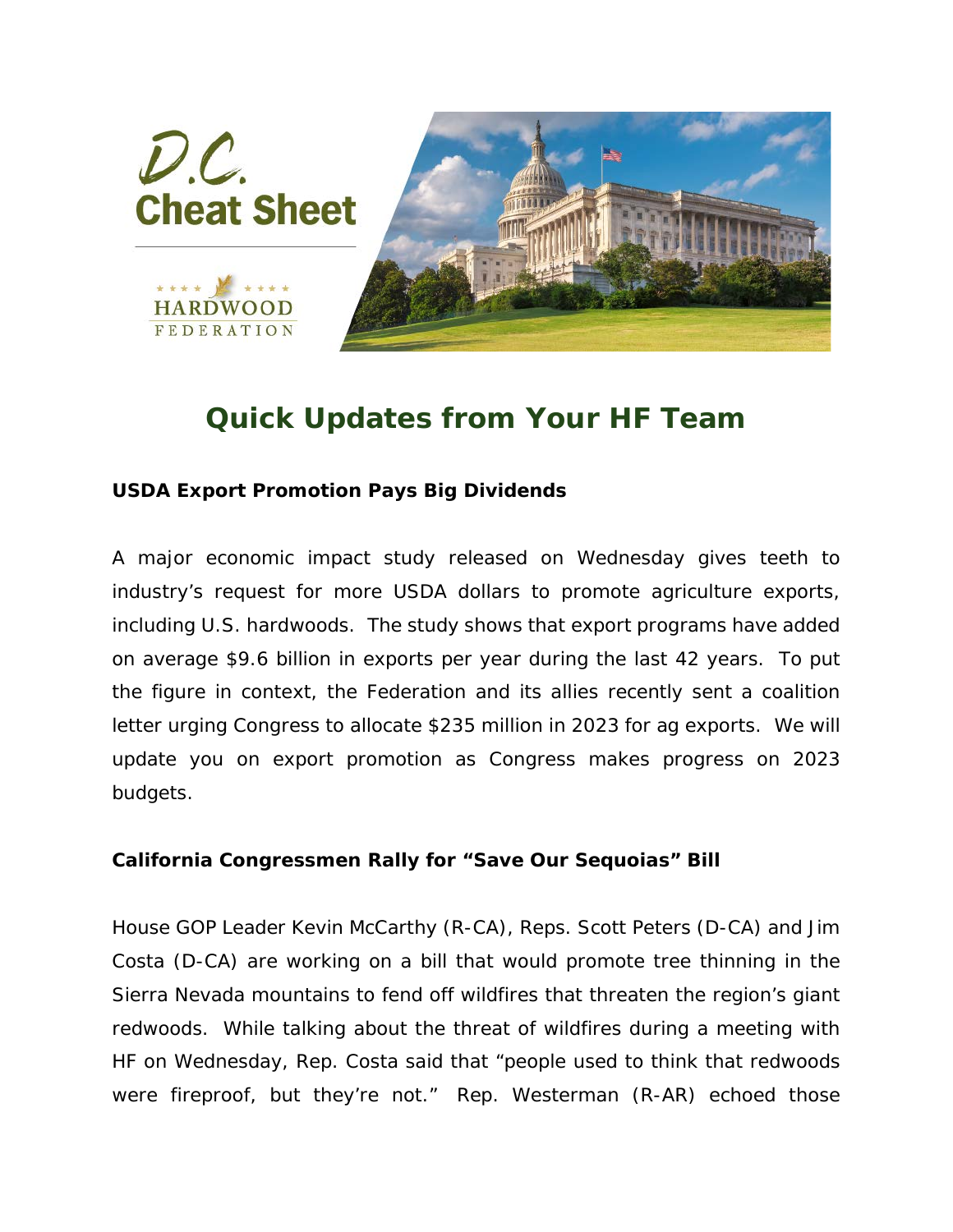

## *Quick Updates from Your HF Team*

## **USDA Export Promotion Pays Big Dividends**

A major economic impact study released on Wednesday gives teeth to industry's request for more USDA dollars to promote agriculture exports, including U.S. hardwoods. The study shows that export programs have added on average \$9.6 billion in exports per year during the last 42 years. To put the figure in context, the Federation and its allies recently sent a coalition letter urging Congress to allocate \$235 million in 2023 for ag exports. We will update you on export promotion as Congress makes progress on 2023 budgets.

## **California Congressmen Rally for "Save Our Sequoias" Bill**

House GOP Leader Kevin McCarthy (R-CA), Reps. Scott Peters (D-CA) and Jim Costa (D-CA) are working on a bill that would promote tree thinning in the Sierra Nevada mountains to fend off wildfires that threaten the region's giant redwoods. While talking about the threat of wildfires during a meeting with HF on Wednesday, Rep. Costa said that "people used to think that redwoods were fireproof, but they're not." Rep. Westerman (R-AR) echoed those